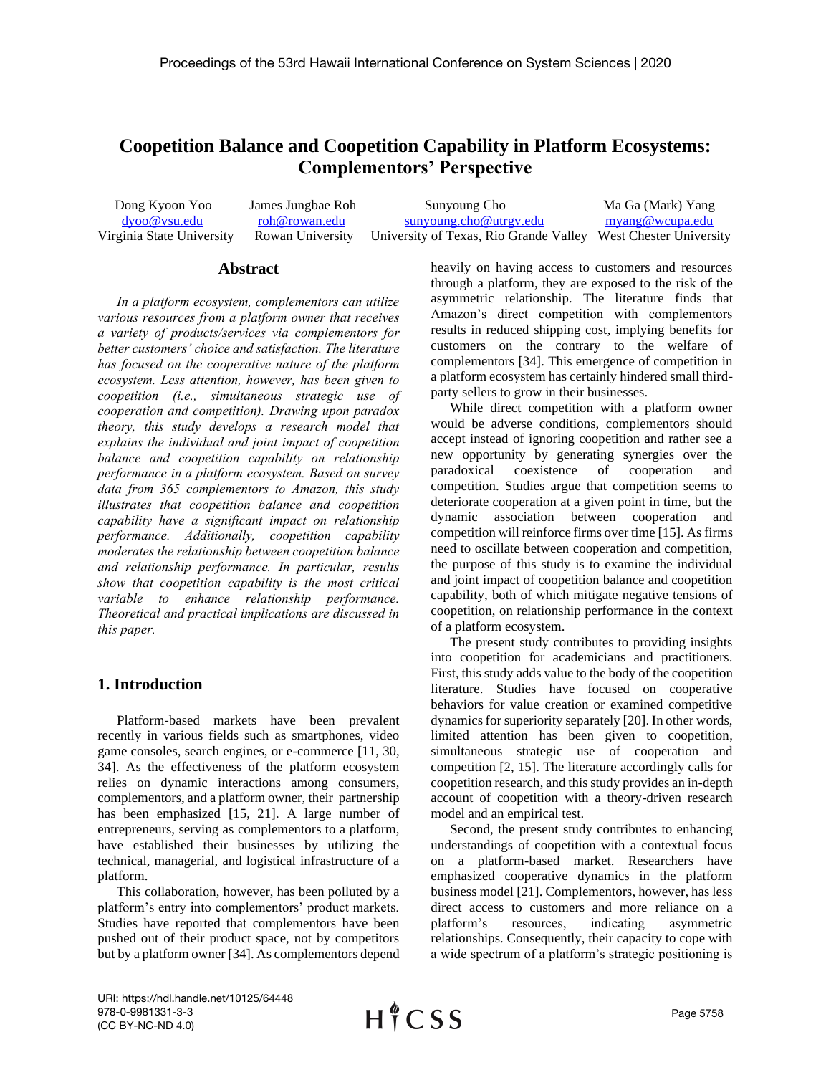# **Coopetition Balance and Coopetition Capability in Platform Ecosystems: Complementors' Perspective**

| Dong Kyoon Yoo            | James Jungbae Roh | Sunyoung Cho                                                                    | Ma Ga (Mark) Yang |
|---------------------------|-------------------|---------------------------------------------------------------------------------|-------------------|
| $d$ yoo@ ysu.edu          | roh@rowan.edu     | sunyoung.cho@utrgy.edu                                                          | myang@wcupa.edu   |
| Virginia State University |                   | Rowan University University of Texas, Rio Grande Valley West Chester University |                   |

#### **Abstract**

*In a platform ecosystem, complementors can utilize various resources from a platform owner that receives a variety of products/services via complementors for better customers' choice and satisfaction. The literature has focused on the cooperative nature of the platform ecosystem. Less attention, however, has been given to coopetition (i.e., simultaneous strategic use of cooperation and competition). Drawing upon paradox theory, this study develops a research model that explains the individual and joint impact of coopetition balance and coopetition capability on relationship performance in a platform ecosystem. Based on survey data from 365 complementors to Amazon, this study illustrates that coopetition balance and coopetition capability have a significant impact on relationship performance. Additionally, coopetition capability moderates the relationship between coopetition balance and relationship performance. In particular, results show that coopetition capability is the most critical variable to enhance relationship performance. Theoretical and practical implications are discussed in this paper.*

## **1. Introduction**

Platform-based markets have been prevalent recently in various fields such as smartphones, video game consoles, search engines, or e-commerce [11, 30, 34]. As the effectiveness of the platform ecosystem relies on dynamic interactions among consumers, complementors, and a platform owner, their partnership has been emphasized [15, 21]. A large number of entrepreneurs, serving as complementors to a platform, have established their businesses by utilizing the technical, managerial, and logistical infrastructure of a platform.

This collaboration, however, has been polluted by a platform's entry into complementors' product markets. Studies have reported that complementors have been pushed out of their product space, not by competitors but by a platform owner [34]. As complementors depend heavily on having access to customers and resources through a platform, they are exposed to the risk of the asymmetric relationship. The literature finds that Amazon's direct competition with complementors results in reduced shipping cost, implying benefits for customers on the contrary to the welfare of complementors [34]. This emergence of competition in a platform ecosystem has certainly hindered small thirdparty sellers to grow in their businesses.

While direct competition with a platform owner would be adverse conditions, complementors should accept instead of ignoring coopetition and rather see a new opportunity by generating synergies over the paradoxical coexistence of cooperation and competition. Studies argue that competition seems to deteriorate cooperation at a given point in time, but the dynamic association between cooperation and competition will reinforce firms over time [15]. As firms need to oscillate between cooperation and competition, the purpose of this study is to examine the individual and joint impact of coopetition balance and coopetition capability, both of which mitigate negative tensions of coopetition, on relationship performance in the context of a platform ecosystem.

The present study contributes to providing insights into coopetition for academicians and practitioners. First, this study adds value to the body of the coopetition literature. Studies have focused on cooperative behaviors for value creation or examined competitive dynamics for superiority separately [20]. In other words, limited attention has been given to coopetition, simultaneous strategic use of cooperation and competition [2, 15]. The literature accordingly calls for coopetition research, and this study provides an in-depth account of coopetition with a theory-driven research model and an empirical test.

Second, the present study contributes to enhancing understandings of coopetition with a contextual focus on a platform-based market. Researchers have emphasized cooperative dynamics in the platform business model [21]. Complementors, however, has less direct access to customers and more reliance on a platform's resources, indicating asymmetric relationships. Consequently, their capacity to cope with a wide spectrum of a platform's strategic positioning is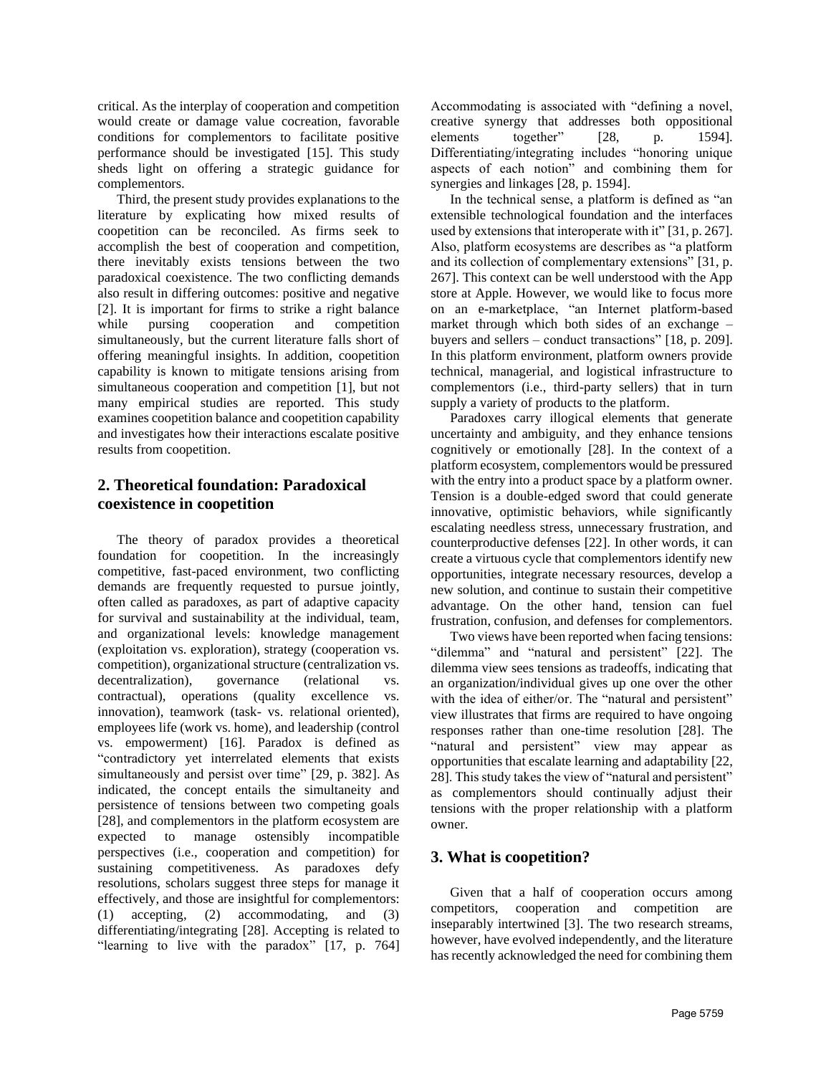critical. As the interplay of cooperation and competition would create or damage value cocreation, favorable conditions for complementors to facilitate positive performance should be investigated [15]. This study sheds light on offering a strategic guidance for complementors.

Third, the present study provides explanations to the literature by explicating how mixed results of coopetition can be reconciled. As firms seek to accomplish the best of cooperation and competition, there inevitably exists tensions between the two paradoxical coexistence. The two conflicting demands also result in differing outcomes: positive and negative [2]. It is important for firms to strike a right balance while pursing cooperation and competition simultaneously, but the current literature falls short of offering meaningful insights. In addition, coopetition capability is known to mitigate tensions arising from simultaneous cooperation and competition [1], but not many empirical studies are reported. This study examines coopetition balance and coopetition capability and investigates how their interactions escalate positive results from coopetition.

## **2. Theoretical foundation: Paradoxical coexistence in coopetition**

The theory of paradox provides a theoretical foundation for coopetition. In the increasingly competitive, fast-paced environment, two conflicting demands are frequently requested to pursue jointly, often called as paradoxes, as part of adaptive capacity for survival and sustainability at the individual, team, and organizational levels: knowledge management (exploitation vs. exploration), strategy (cooperation vs. competition), organizational structure (centralization vs. decentralization), governance (relational vs. contractual), operations (quality excellence vs. innovation), teamwork (task- vs. relational oriented), employees life (work vs. home), and leadership (control vs. empowerment) [16]. Paradox is defined as "contradictory yet interrelated elements that exists simultaneously and persist over time" [29, p. 382]. As indicated, the concept entails the simultaneity and persistence of tensions between two competing goals [28], and complementors in the platform ecosystem are expected to manage ostensibly incompatible perspectives (i.e., cooperation and competition) for sustaining competitiveness. As paradoxes defy resolutions, scholars suggest three steps for manage it effectively, and those are insightful for complementors: (1) accepting, (2) accommodating, and (3) differentiating/integrating [28]. Accepting is related to "learning to live with the paradox" [17, p. 764]

Accommodating is associated with "defining a novel, creative synergy that addresses both oppositional elements together" [28, p. 1594]. Differentiating/integrating includes "honoring unique aspects of each notion" and combining them for synergies and linkages [28, p. 1594].

In the technical sense, a platform is defined as "an extensible technological foundation and the interfaces used by extensions that interoperate with it" [31, p. 267]. Also, platform ecosystems are describes as "a platform and its collection of complementary extensions" [31, p. 267]. This context can be well understood with the App store at Apple. However, we would like to focus more on an e-marketplace, "an Internet platform-based market through which both sides of an exchange – buyers and sellers – conduct transactions" [18, p. 209]. In this platform environment, platform owners provide technical, managerial, and logistical infrastructure to complementors (i.e., third-party sellers) that in turn supply a variety of products to the platform.

Paradoxes carry illogical elements that generate uncertainty and ambiguity, and they enhance tensions cognitively or emotionally [28]. In the context of a platform ecosystem, complementors would be pressured with the entry into a product space by a platform owner. Tension is a double-edged sword that could generate innovative, optimistic behaviors, while significantly escalating needless stress, unnecessary frustration, and counterproductive defenses [22]. In other words, it can create a virtuous cycle that complementors identify new opportunities, integrate necessary resources, develop a new solution, and continue to sustain their competitive advantage. On the other hand, tension can fuel frustration, confusion, and defenses for complementors.

Two views have been reported when facing tensions: "dilemma" and "natural and persistent" [22]. The dilemma view sees tensions as tradeoffs, indicating that an organization/individual gives up one over the other with the idea of either/or. The "natural and persistent" view illustrates that firms are required to have ongoing responses rather than one-time resolution [28]. The "natural and persistent" view may appear as opportunities that escalate learning and adaptability [22, 28]. This study takes the view of "natural and persistent" as complementors should continually adjust their tensions with the proper relationship with a platform owner.

## **3. What is coopetition?**

Given that a half of cooperation occurs among competitors, cooperation and competition are inseparably intertwined [3]. The two research streams, however, have evolved independently, and the literature has recently acknowledged the need for combining them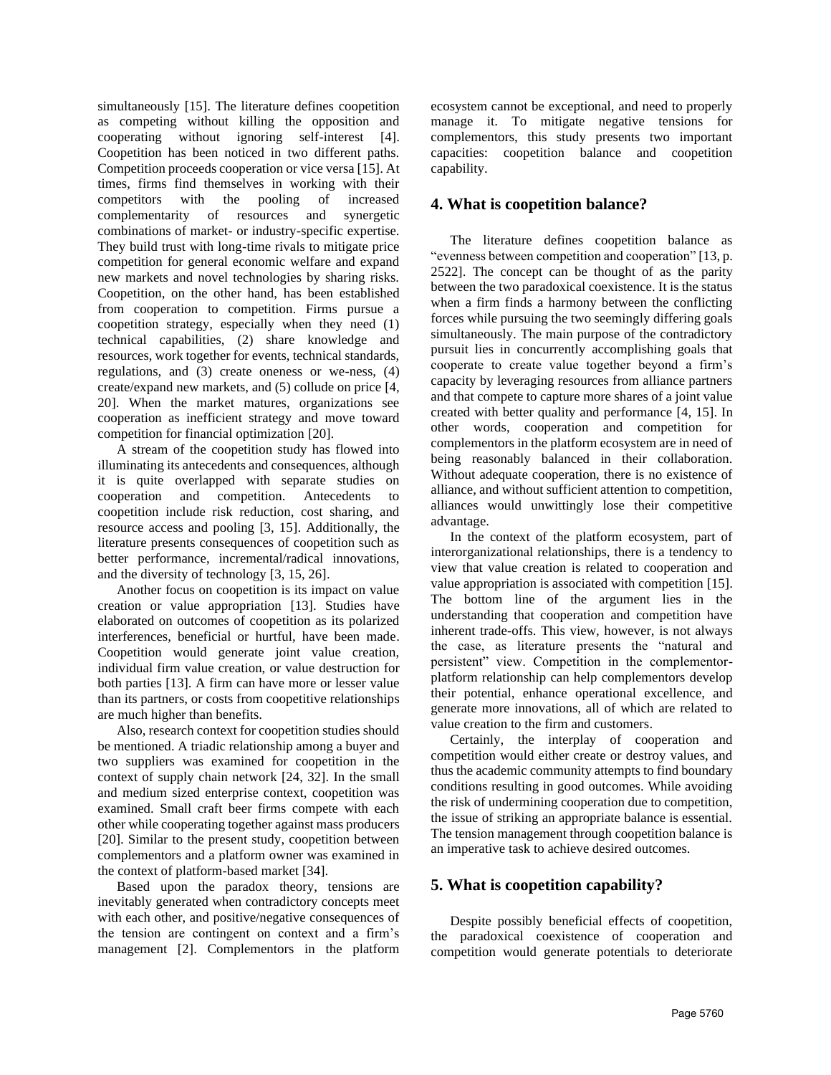simultaneously [15]. The literature defines coopetition as competing without killing the opposition and cooperating without ignoring self-interest [4]. Coopetition has been noticed in two different paths. Competition proceeds cooperation or vice versa [15]. At times, firms find themselves in working with their competitors with the pooling of increased complementarity of resources and synergetic combinations of market- or industry-specific expertise. They build trust with long-time rivals to mitigate price competition for general economic welfare and expand new markets and novel technologies by sharing risks. Coopetition, on the other hand, has been established from cooperation to competition. Firms pursue a coopetition strategy, especially when they need (1) technical capabilities, (2) share knowledge and resources, work together for events, technical standards, regulations, and (3) create oneness or we-ness, (4) create/expand new markets, and (5) collude on price [4, 20]. When the market matures, organizations see cooperation as inefficient strategy and move toward competition for financial optimization [20].

A stream of the coopetition study has flowed into illuminating its antecedents and consequences, although it is quite overlapped with separate studies on cooperation and competition. Antecedents to coopetition include risk reduction, cost sharing, and resource access and pooling [3, 15]. Additionally, the literature presents consequences of coopetition such as better performance, incremental/radical innovations, and the diversity of technology [3, 15, 26].

Another focus on coopetition is its impact on value creation or value appropriation [13]. Studies have elaborated on outcomes of coopetition as its polarized interferences, beneficial or hurtful, have been made. Coopetition would generate joint value creation, individual firm value creation, or value destruction for both parties [13]. A firm can have more or lesser value than its partners, or costs from coopetitive relationships are much higher than benefits.

Also, research context for coopetition studies should be mentioned. A triadic relationship among a buyer and two suppliers was examined for coopetition in the context of supply chain network [24, 32]. In the small and medium sized enterprise context, coopetition was examined. Small craft beer firms compete with each other while cooperating together against mass producers [20]. Similar to the present study, coopetition between complementors and a platform owner was examined in the context of platform-based market [34].

Based upon the paradox theory, tensions are inevitably generated when contradictory concepts meet with each other, and positive/negative consequences of the tension are contingent on context and a firm's management [2]. Complementors in the platform

ecosystem cannot be exceptional, and need to properly manage it. To mitigate negative tensions for complementors, this study presents two important capacities: coopetition balance and coopetition capability.

## **4. What is coopetition balance?**

The literature defines coopetition balance as "evenness between competition and cooperation" [13, p. 2522]. The concept can be thought of as the parity between the two paradoxical coexistence. It is the status when a firm finds a harmony between the conflicting forces while pursuing the two seemingly differing goals simultaneously. The main purpose of the contradictory pursuit lies in concurrently accomplishing goals that cooperate to create value together beyond a firm's capacity by leveraging resources from alliance partners and that compete to capture more shares of a joint value created with better quality and performance [4, 15]. In other words, cooperation and competition for complementors in the platform ecosystem are in need of being reasonably balanced in their collaboration. Without adequate cooperation, there is no existence of alliance, and without sufficient attention to competition, alliances would unwittingly lose their competitive advantage.

In the context of the platform ecosystem, part of interorganizational relationships, there is a tendency to view that value creation is related to cooperation and value appropriation is associated with competition [15]. The bottom line of the argument lies in the understanding that cooperation and competition have inherent trade-offs. This view, however, is not always the case, as literature presents the "natural and persistent" view. Competition in the complementorplatform relationship can help complementors develop their potential, enhance operational excellence, and generate more innovations, all of which are related to value creation to the firm and customers.

Certainly, the interplay of cooperation and competition would either create or destroy values, and thus the academic community attempts to find boundary conditions resulting in good outcomes. While avoiding the risk of undermining cooperation due to competition, the issue of striking an appropriate balance is essential. The tension management through coopetition balance is an imperative task to achieve desired outcomes.

# **5. What is coopetition capability?**

Despite possibly beneficial effects of coopetition, the paradoxical coexistence of cooperation and competition would generate potentials to deteriorate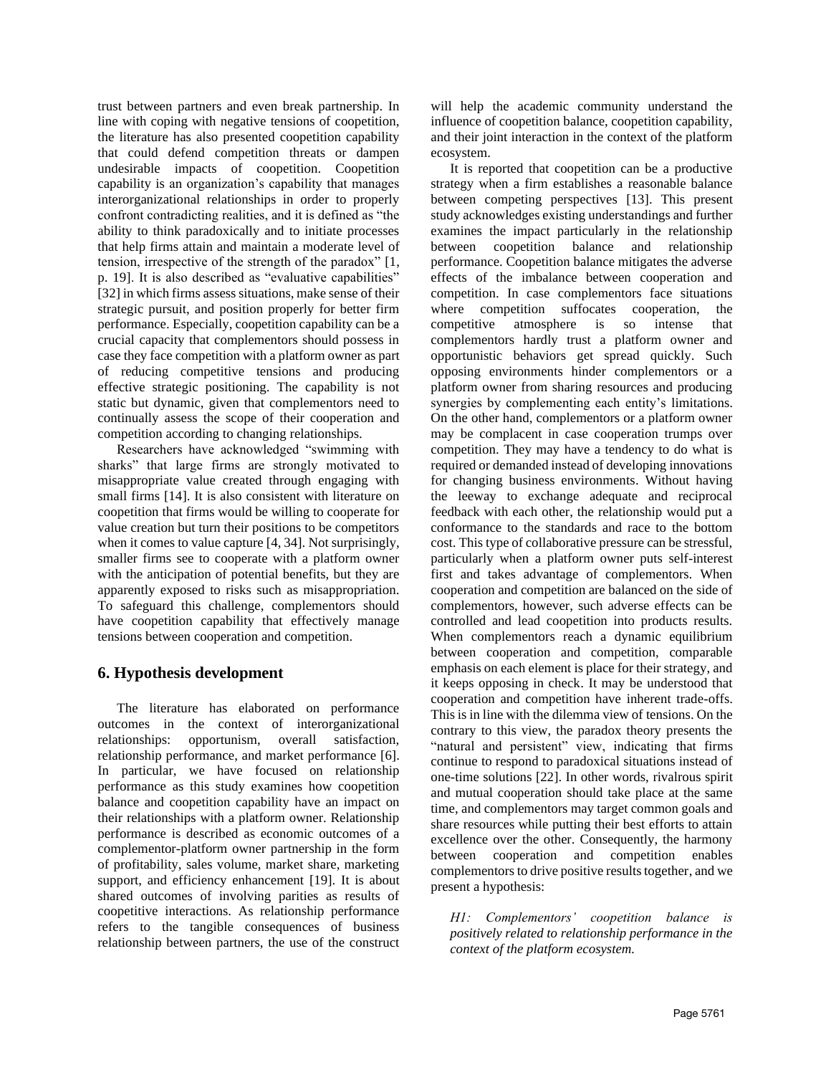trust between partners and even break partnership. In line with coping with negative tensions of coopetition, the literature has also presented coopetition capability that could defend competition threats or dampen undesirable impacts of coopetition. Coopetition capability is an organization's capability that manages interorganizational relationships in order to properly confront contradicting realities, and it is defined as "the ability to think paradoxically and to initiate processes that help firms attain and maintain a moderate level of tension, irrespective of the strength of the paradox" [1, p. 19]. It is also described as "evaluative capabilities" [32] in which firms assess situations, make sense of their strategic pursuit, and position properly for better firm performance. Especially, coopetition capability can be a crucial capacity that complementors should possess in case they face competition with a platform owner as part of reducing competitive tensions and producing effective strategic positioning. The capability is not static but dynamic, given that complementors need to continually assess the scope of their cooperation and competition according to changing relationships.

Researchers have acknowledged "swimming with sharks" that large firms are strongly motivated to misappropriate value created through engaging with small firms [14]. It is also consistent with literature on coopetition that firms would be willing to cooperate for value creation but turn their positions to be competitors when it comes to value capture [4, 34]. Not surprisingly, smaller firms see to cooperate with a platform owner with the anticipation of potential benefits, but they are apparently exposed to risks such as misappropriation. To safeguard this challenge, complementors should have coopetition capability that effectively manage tensions between cooperation and competition.

## **6. Hypothesis development**

The literature has elaborated on performance outcomes in the context of interorganizational relationships: opportunism, overall satisfaction, relationship performance, and market performance [6]. In particular, we have focused on relationship performance as this study examines how coopetition balance and coopetition capability have an impact on their relationships with a platform owner. Relationship performance is described as economic outcomes of a complementor-platform owner partnership in the form of profitability, sales volume, market share, marketing support, and efficiency enhancement [19]. It is about shared outcomes of involving parities as results of coopetitive interactions. As relationship performance refers to the tangible consequences of business relationship between partners, the use of the construct will help the academic community understand the influence of coopetition balance, coopetition capability, and their joint interaction in the context of the platform ecosystem.

It is reported that coopetition can be a productive strategy when a firm establishes a reasonable balance between competing perspectives [13]. This present study acknowledges existing understandings and further examines the impact particularly in the relationship between coopetition balance and relationship performance. Coopetition balance mitigates the adverse effects of the imbalance between cooperation and competition. In case complementors face situations where competition suffocates cooperation, the competitive atmosphere is so intense that complementors hardly trust a platform owner and opportunistic behaviors get spread quickly. Such opposing environments hinder complementors or a platform owner from sharing resources and producing synergies by complementing each entity's limitations. On the other hand, complementors or a platform owner may be complacent in case cooperation trumps over competition. They may have a tendency to do what is required or demanded instead of developing innovations for changing business environments. Without having the leeway to exchange adequate and reciprocal feedback with each other, the relationship would put a conformance to the standards and race to the bottom cost. This type of collaborative pressure can be stressful, particularly when a platform owner puts self-interest first and takes advantage of complementors. When cooperation and competition are balanced on the side of complementors, however, such adverse effects can be controlled and lead coopetition into products results. When complementors reach a dynamic equilibrium between cooperation and competition, comparable emphasis on each element is place for their strategy, and it keeps opposing in check. It may be understood that cooperation and competition have inherent trade-offs. This is in line with the dilemma view of tensions. On the contrary to this view, the paradox theory presents the "natural and persistent" view, indicating that firms continue to respond to paradoxical situations instead of one-time solutions [22]. In other words, rivalrous spirit and mutual cooperation should take place at the same time, and complementors may target common goals and share resources while putting their best efforts to attain excellence over the other. Consequently, the harmony between cooperation and competition enables complementors to drive positive results together, and we present a hypothesis:

*H1: Complementors' coopetition balance is positively related to relationship performance in the context of the platform ecosystem.*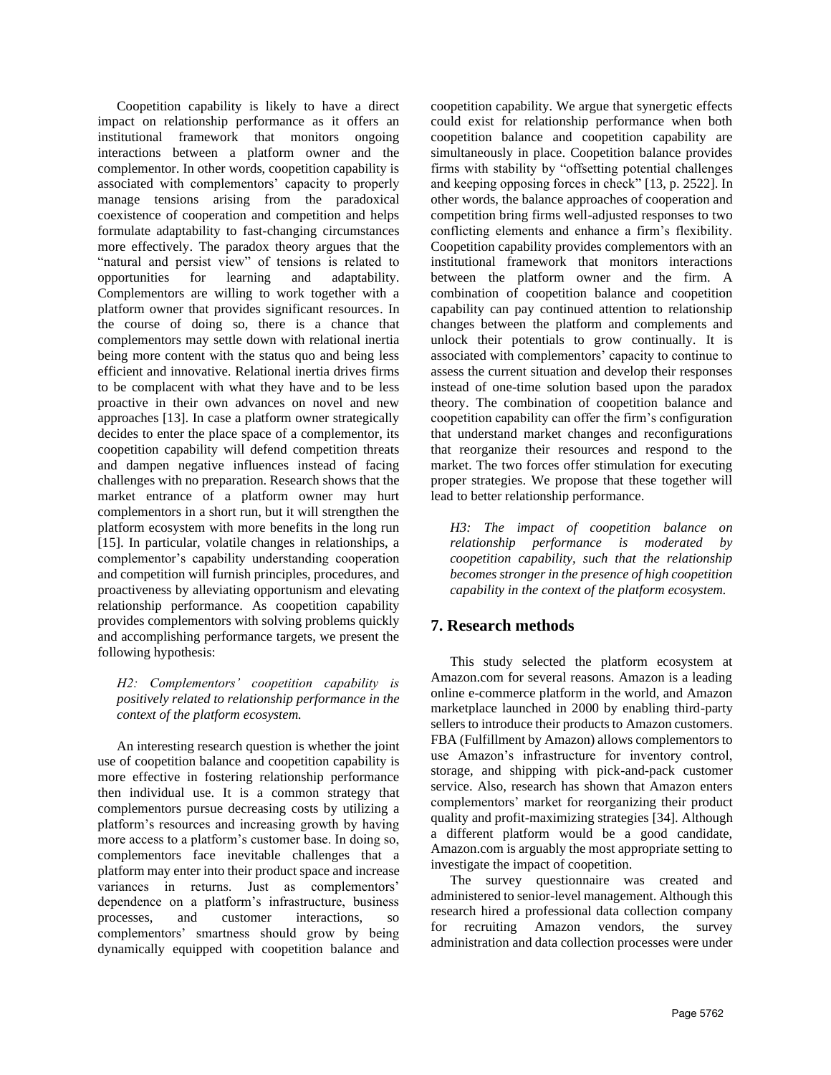Coopetition capability is likely to have a direct impact on relationship performance as it offers an institutional framework that monitors ongoing interactions between a platform owner and the complementor. In other words, coopetition capability is associated with complementors' capacity to properly manage tensions arising from the paradoxical coexistence of cooperation and competition and helps formulate adaptability to fast-changing circumstances more effectively. The paradox theory argues that the "natural and persist view" of tensions is related to opportunities for learning and adaptability. Complementors are willing to work together with a platform owner that provides significant resources. In the course of doing so, there is a chance that complementors may settle down with relational inertia being more content with the status quo and being less efficient and innovative. Relational inertia drives firms to be complacent with what they have and to be less proactive in their own advances on novel and new approaches [13]. In case a platform owner strategically decides to enter the place space of a complementor, its coopetition capability will defend competition threats and dampen negative influences instead of facing challenges with no preparation. Research shows that the market entrance of a platform owner may hurt complementors in a short run, but it will strengthen the platform ecosystem with more benefits in the long run [15]. In particular, volatile changes in relationships, a complementor's capability understanding cooperation and competition will furnish principles, procedures, and proactiveness by alleviating opportunism and elevating relationship performance. As coopetition capability provides complementors with solving problems quickly and accomplishing performance targets, we present the following hypothesis:

#### *H2: Complementors' coopetition capability is positively related to relationship performance in the context of the platform ecosystem.*

An interesting research question is whether the joint use of coopetition balance and coopetition capability is more effective in fostering relationship performance then individual use. It is a common strategy that complementors pursue decreasing costs by utilizing a platform's resources and increasing growth by having more access to a platform's customer base. In doing so, complementors face inevitable challenges that a platform may enter into their product space and increase variances in returns. Just as complementors' dependence on a platform's infrastructure, business processes, and customer interactions, so complementors' smartness should grow by being dynamically equipped with coopetition balance and coopetition capability. We argue that synergetic effects could exist for relationship performance when both coopetition balance and coopetition capability are simultaneously in place. Coopetition balance provides firms with stability by "offsetting potential challenges and keeping opposing forces in check" [13, p. 2522]. In other words, the balance approaches of cooperation and competition bring firms well-adjusted responses to two conflicting elements and enhance a firm's flexibility. Coopetition capability provides complementors with an institutional framework that monitors interactions between the platform owner and the firm. A combination of coopetition balance and coopetition capability can pay continued attention to relationship changes between the platform and complements and unlock their potentials to grow continually. It is associated with complementors' capacity to continue to assess the current situation and develop their responses instead of one-time solution based upon the paradox theory. The combination of coopetition balance and coopetition capability can offer the firm's configuration that understand market changes and reconfigurations that reorganize their resources and respond to the market. The two forces offer stimulation for executing proper strategies. We propose that these together will lead to better relationship performance.

*H3: The impact of coopetition balance on relationship performance is moderated by coopetition capability, such that the relationship becomes stronger in the presence of high coopetition capability in the context of the platform ecosystem.*

# **7. Research methods**

This study selected the platform ecosystem at Amazon.com for several reasons. Amazon is a leading online e-commerce platform in the world, and Amazon marketplace launched in 2000 by enabling third-party sellers to introduce their products to Amazon customers. FBA (Fulfillment by Amazon) allows complementors to use Amazon's infrastructure for inventory control, storage, and shipping with pick-and-pack customer service. Also, research has shown that Amazon enters complementors' market for reorganizing their product quality and profit-maximizing strategies [34]. Although a different platform would be a good candidate, Amazon.com is arguably the most appropriate setting to investigate the impact of coopetition.

The survey questionnaire was created and administered to senior-level management. Although this research hired a professional data collection company for recruiting Amazon vendors, the survey administration and data collection processes were under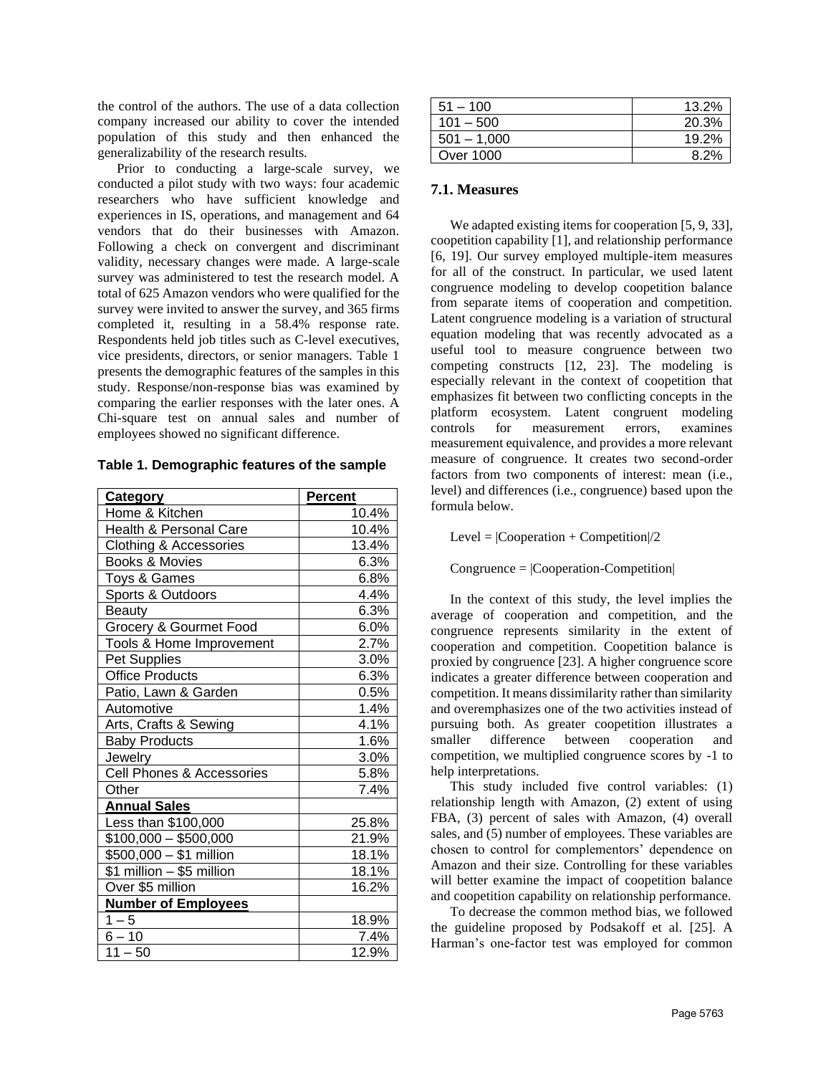the control of the authors. The use of a data collection company increased our ability to cover the intended population of this study and then enhanced the generalizability of the research results.

Prior to conducting a large-scale survey, we conducted a pilot study with two ways: four academic researchers who have sufficient knowledge and experiences in IS, operations, and management and 64 vendors that do their businesses with Amazon. Following a check on convergent and discriminant validity, necessary changes were made. A large-scale survey was administered to test the research model. A total of 625 Amazon vendors who were qualified for the survey were invited to answer the survey, and 365 firms completed it, resulting in a 58.4% response rate. Respondents held job titles such as C-level executives, vice presidents, directors, or senior managers. Table 1 presents the demographic features of the samples in this study. Response/non-response bias was examined by comparing the earlier responses with the later ones. A Chi-square test on annual sales and number of employees showed no significant difference.

| Category                          | <b>Percent</b> |
|-----------------------------------|----------------|
| Home & Kitchen                    | 10.4%          |
| <b>Health &amp; Personal Care</b> | 10.4%          |
| Clothing & Accessories            | 13.4%          |
| Books & Movies                    | 6.3%           |
| Toys & Games                      | 6.8%           |
| Sports & Outdoors                 | 4.4%           |
| Beauty                            | 6.3%           |
| Grocery & Gourmet Food            | 6.0%           |
| Tools & Home Improvement          | 2.7%           |
| <b>Pet Supplies</b>               | 3.0%           |
| <b>Office Products</b>            | 6.3%           |
| Patio, Lawn & Garden              | 0.5%           |
| Automotive                        | 1.4%           |
| Arts, Crafts & Sewing             | 4.1%           |
| <b>Baby Products</b>              | 1.6%           |
| Jewelry                           | 3.0%           |
| Cell Phones & Accessories         | 5.8%           |
| Other                             | 7.4%           |
| <b>Annual Sales</b>               |                |
| Less than \$100,000               | 25.8%          |
| $$100,000 - $500,000$             | 21.9%          |
| \$500,000 - \$1 million           | 18.1%          |
| \$1 million - \$5 million         | 18.1%          |
| Over \$5 million                  | 16.2%          |
| <b>Number of Employees</b>        |                |
| $1 - 5$                           | 18.9%          |
| $6 - 10$                          | 7.4%           |
| $11 - 50$                         | 12.9%          |

| $51 - 100$    | 13.2% |
|---------------|-------|
| $101 - 500$   | 20.3% |
| $501 - 1,000$ | 19.2% |
| Over 1000     | 8.2%  |

#### **7.1. Measures**

We adapted existing items for cooperation [5, 9, 33], coopetition capability [1], and relationship performance [6, 19]. Our survey employed multiple-item measures for all of the construct. In particular, we used latent congruence modeling to develop coopetition balance from separate items of cooperation and competition. Latent congruence modeling is a variation of structural equation modeling that was recently advocated as a useful tool to measure congruence between two competing constructs [12, 23]. The modeling is especially relevant in the context of coopetition that emphasizes fit between two conflicting concepts in the platform ecosystem. Latent congruent modeling controls for measurement errors, examines measurement equivalence, and provides a more relevant measure of congruence. It creates two second-order factors from two components of interest: mean (i.e., level) and differences (i.e., congruence) based upon the formula below.

Level =  $|Cooperation + Competition|/2$ 

Congruence = |Cooperation-Competition|

In the context of this study, the level implies the average of cooperation and competition, and the congruence represents similarity in the extent of cooperation and competition. Coopetition balance is proxied by congruence [23]. A higher congruence score indicates a greater difference between cooperation and competition. It means dissimilarity rather than similarity and overemphasizes one of the two activities instead of pursuing both. As greater coopetition illustrates a smaller difference between cooperation and competition, we multiplied congruence scores by -1 to help interpretations.

This study included five control variables: (1) relationship length with Amazon, (2) extent of using FBA, (3) percent of sales with Amazon, (4) overall sales, and (5) number of employees. These variables are chosen to control for complementors' dependence on Amazon and their size. Controlling for these variables will better examine the impact of coopetition balance and coopetition capability on relationship performance.

To decrease the common method bias, we followed the guideline proposed by Podsakoff et al. [25]. A Harman's one-factor test was employed for common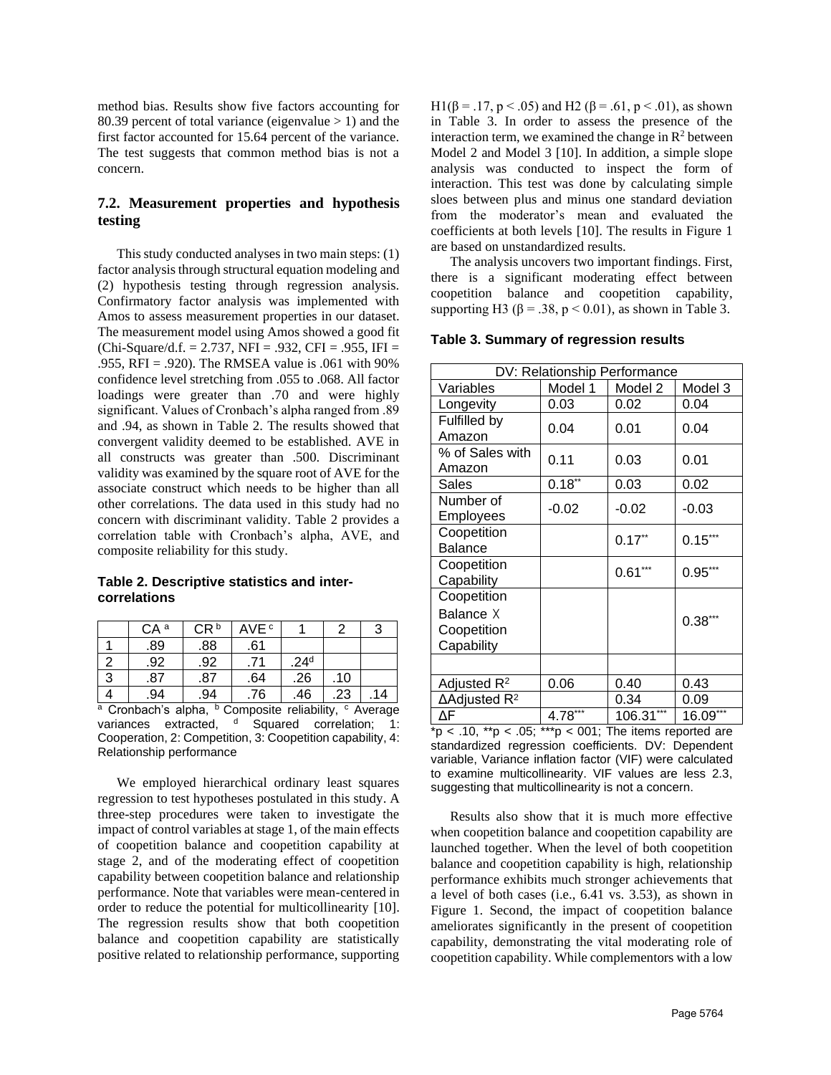method bias. Results show five factors accounting for 80.39 percent of total variance (eigenvalue  $> 1$ ) and the first factor accounted for 15.64 percent of the variance. The test suggests that common method bias is not a concern.

### **7.2. Measurement properties and hypothesis testing**

This study conducted analyses in two main steps: (1) factor analysis through structural equation modeling and (2) hypothesis testing through regression analysis. Confirmatory factor analysis was implemented with Amos to assess measurement properties in our dataset. The measurement model using Amos showed a good fit  $(Chi-Square/d.f. = 2.737, NFI = .932, CFI = .955, IFI =$ .955, RFI = .920). The RMSEA value is .061 with 90% confidence level stretching from .055 to .068. All factor loadings were greater than .70 and were highly significant. Values of Cronbach's alpha ranged from .89 and .94, as shown in Table 2. The results showed that convergent validity deemed to be established. AVE in all constructs was greater than .500. Discriminant validity was examined by the square root of AVE for the associate construct which needs to be higher than all other correlations. The data used in this study had no concern with discriminant validity. Table 2 provides a correlation table with Cronbach's alpha, AVE, and composite reliability for this study.

**Table 2. Descriptive statistics and intercorrelations**

|   | CA <sup>a</sup> | CR <sub>b</sub> | AVE <sup>c</sup> |                  |     | 3  |
|---|-----------------|-----------------|------------------|------------------|-----|----|
|   | .89             | .88             | .61              |                  |     |    |
| 2 | .92             | .92             | .71              | .24 <sup>d</sup> |     |    |
| 3 | .87             | .87             | .64              | .26              | .10 |    |
|   | .94             | .94             | .76              | .46              | .23 | 14 |

a Cronbach's alpha, <sup>b</sup> Composite reliability, <sup>c</sup> Average variances extracted, <sup>d</sup> Squared correlation; 1: Cooperation, 2: Competition, 3: Coopetition capability, 4: Relationship performance

We employed hierarchical ordinary least squares regression to test hypotheses postulated in this study. A three-step procedures were taken to investigate the impact of control variables at stage 1, of the main effects of coopetition balance and coopetition capability at stage 2, and of the moderating effect of coopetition capability between coopetition balance and relationship performance. Note that variables were mean-centered in order to reduce the potential for multicollinearity [10]. The regression results show that both coopetition balance and coopetition capability are statistically positive related to relationship performance, supporting

H1(β = .17, p < .05) and H2 (β = .61, p < .01), as shown in Table 3. In order to assess the presence of the interaction term, we examined the change in  $\mathbb{R}^2$  between Model 2 and Model 3 [10]. In addition, a simple slope analysis was conducted to inspect the form of interaction. This test was done by calculating simple sloes between plus and minus one standard deviation from the moderator's mean and evaluated the coefficients at both levels [10]. The results in Figure 1 are based on unstandardized results.

The analysis uncovers two important findings. First, there is a significant moderating effect between coopetition balance and coopetition capability, supporting H3 ( $\beta$  = .38, p < 0.01), as shown in Table 3.

# **Table 3. Summary of regression results**

| DV: Relationship Performance                          |           |             |           |  |
|-------------------------------------------------------|-----------|-------------|-----------|--|
| Variables                                             | Model 1   | Model 2     | Model 3   |  |
| Longevity                                             | 0.03      | 0.02        | 0.04      |  |
| Fulfilled by<br>Amazon                                | 0.04      | 0.01        | 0.04      |  |
| % of Sales with<br>Amazon                             | 0.11      | 0.03        | 0.01      |  |
| Sales                                                 | $0.18***$ | 0.03        | 0.02      |  |
| Number of<br>Employees                                | $-0.02$   | $-0.02$     | $-0.03$   |  |
| Coopetition<br><b>Balance</b>                         |           | $0.17$ **   | $0.15***$ |  |
| Coopetition<br>Capability                             |           | $0.61***$   | $0.95***$ |  |
| Coopetition<br>Balance X<br>Coopetition<br>Capability |           |             | $0.38***$ |  |
|                                                       |           |             |           |  |
| Adjusted R <sup>2</sup>                               | 0.06      | 0.40        | 0.43      |  |
| $\Delta$ Adjusted R <sup>2</sup>                      |           | 0.34        | 0.09      |  |
| ΔF                                                    | $4.78***$ | $106.31***$ | 16.09***  |  |

 $*p$  < .10,  $*p$  < .05;  $**p$  < 001; The items reported are standardized regression coefficients. DV: Dependent variable, Variance inflation factor (VIF) were calculated to examine multicollinearity. VIF values are less 2.3, suggesting that multicollinearity is not a concern.

Results also show that it is much more effective when coopetition balance and coopetition capability are launched together. When the level of both coopetition balance and coopetition capability is high, relationship performance exhibits much stronger achievements that a level of both cases (i.e., 6.41 vs. 3.53), as shown in Figure 1. Second, the impact of coopetition balance ameliorates significantly in the present of coopetition capability, demonstrating the vital moderating role of coopetition capability. While complementors with a low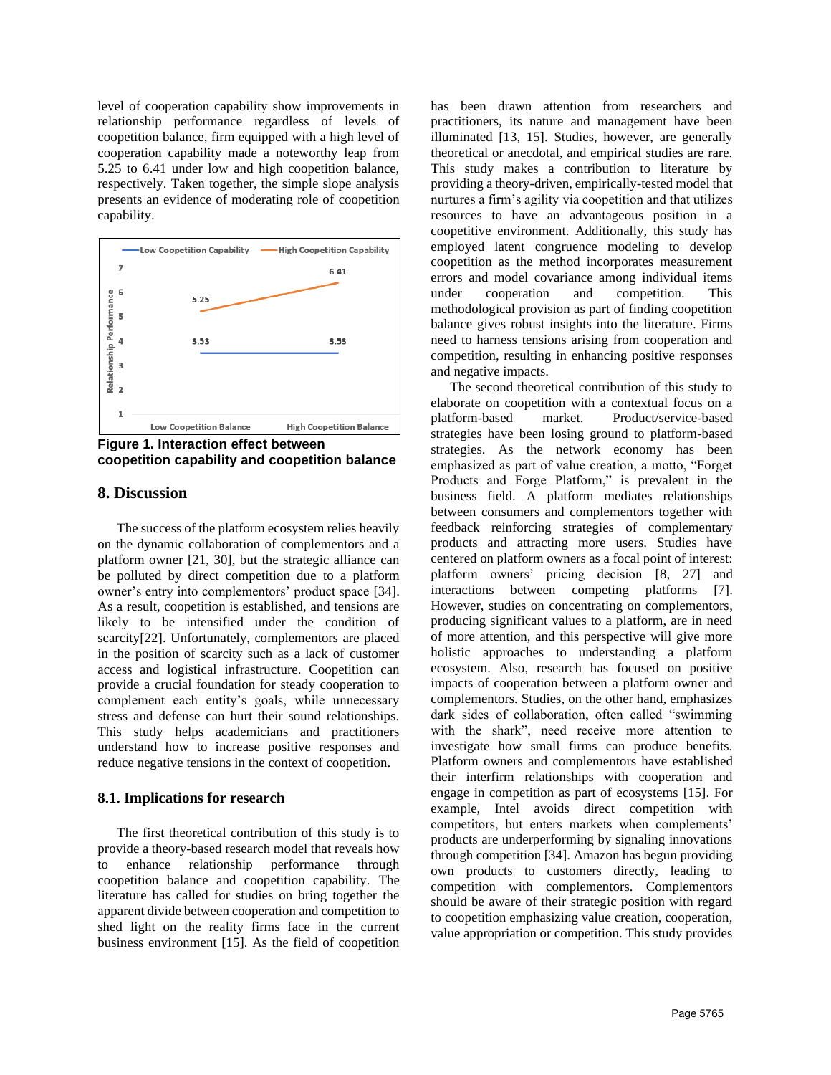level of cooperation capability show improvements in relationship performance regardless of levels of coopetition balance, firm equipped with a high level of cooperation capability made a noteworthy leap from 5.25 to 6.41 under low and high coopetition balance, respectively. Taken together, the simple slope analysis presents an evidence of moderating role of coopetition capability.



**Figure 1. Interaction effect between coopetition capability and coopetition balance**

### **8. Discussion**

The success of the platform ecosystem relies heavily on the dynamic collaboration of complementors and a platform owner [21, 30], but the strategic alliance can be polluted by direct competition due to a platform owner's entry into complementors' product space [34]. As a result, coopetition is established, and tensions are likely to be intensified under the condition of scarcity[22]. Unfortunately, complementors are placed in the position of scarcity such as a lack of customer access and logistical infrastructure. Coopetition can provide a crucial foundation for steady cooperation to complement each entity's goals, while unnecessary stress and defense can hurt their sound relationships. This study helps academicians and practitioners understand how to increase positive responses and reduce negative tensions in the context of coopetition.

#### **8.1. Implications for research**

The first theoretical contribution of this study is to provide a theory-based research model that reveals how to enhance relationship performance through coopetition balance and coopetition capability. The literature has called for studies on bring together the apparent divide between cooperation and competition to shed light on the reality firms face in the current business environment [15]. As the field of coopetition has been drawn attention from researchers and practitioners, its nature and management have been illuminated [13, 15]. Studies, however, are generally theoretical or anecdotal, and empirical studies are rare. This study makes a contribution to literature by providing a theory-driven, empirically-tested model that nurtures a firm's agility via coopetition and that utilizes resources to have an advantageous position in a coopetitive environment. Additionally, this study has employed latent congruence modeling to develop coopetition as the method incorporates measurement errors and model covariance among individual items under cooperation and competition. This methodological provision as part of finding coopetition balance gives robust insights into the literature. Firms need to harness tensions arising from cooperation and competition, resulting in enhancing positive responses and negative impacts.

The second theoretical contribution of this study to elaborate on coopetition with a contextual focus on a platform-based market. Product/service-based strategies have been losing ground to platform-based strategies. As the network economy has been emphasized as part of value creation, a motto, "Forget Products and Forge Platform," is prevalent in the business field. A platform mediates relationships between consumers and complementors together with feedback reinforcing strategies of complementary products and attracting more users. Studies have centered on platform owners as a focal point of interest: platform owners' pricing decision [8, 27] and interactions between competing platforms [7]. However, studies on concentrating on complementors, producing significant values to a platform, are in need of more attention, and this perspective will give more holistic approaches to understanding a platform ecosystem. Also, research has focused on positive impacts of cooperation between a platform owner and complementors. Studies, on the other hand, emphasizes dark sides of collaboration, often called "swimming with the shark", need receive more attention to investigate how small firms can produce benefits. Platform owners and complementors have established their interfirm relationships with cooperation and engage in competition as part of ecosystems [15]. For example, Intel avoids direct competition with competitors, but enters markets when complements' products are underperforming by signaling innovations through competition [34]. Amazon has begun providing own products to customers directly, leading to competition with complementors. Complementors should be aware of their strategic position with regard to coopetition emphasizing value creation, cooperation, value appropriation or competition. This study provides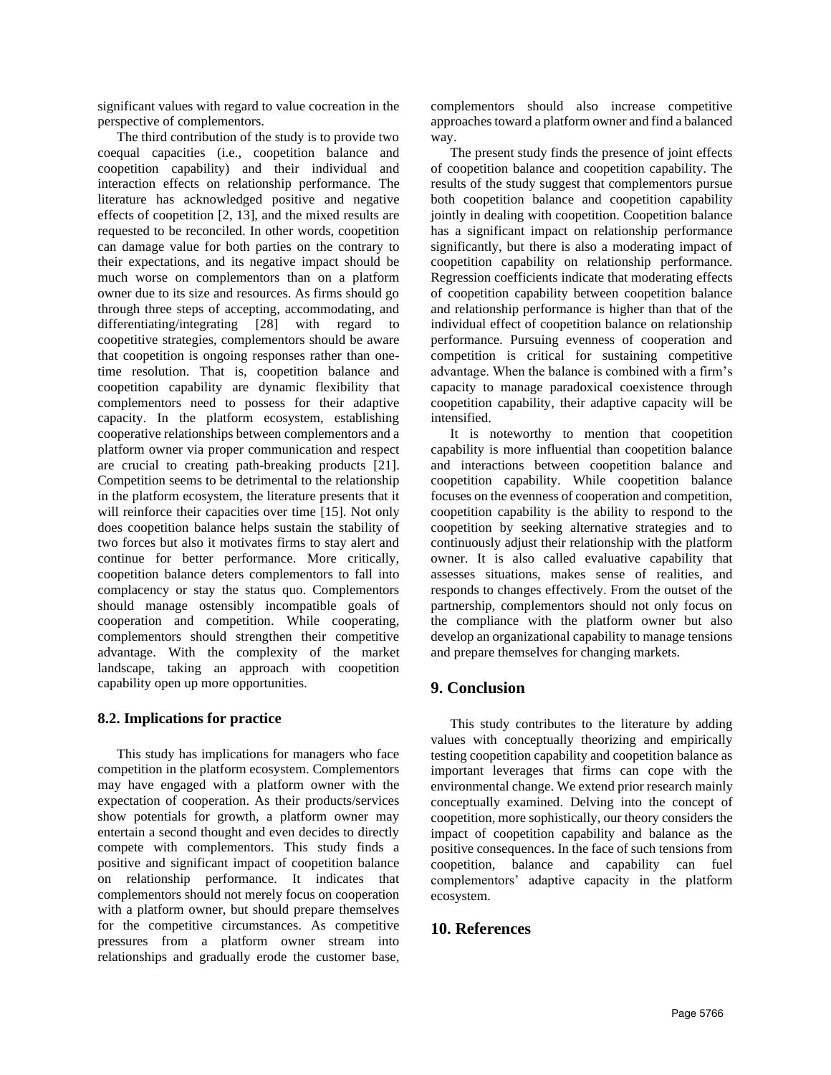significant values with regard to value cocreation in the perspective of complementors.

The third contribution of the study is to provide two coequal capacities (i.e., coopetition balance and coopetition capability) and their individual and interaction effects on relationship performance. The literature has acknowledged positive and negative effects of coopetition [2, 13], and the mixed results are requested to be reconciled. In other words, coopetition can damage value for both parties on the contrary to their expectations, and its negative impact should be much worse on complementors than on a platform owner due to its size and resources. As firms should go through three steps of accepting, accommodating, and<br>differentiating/integrating [28] with regard to differentiating/integrating [28] with regard to coopetitive strategies, complementors should be aware that coopetition is ongoing responses rather than onetime resolution. That is, coopetition balance and coopetition capability are dynamic flexibility that complementors need to possess for their adaptive capacity. In the platform ecosystem, establishing cooperative relationships between complementors and a platform owner via proper communication and respect are crucial to creating path-breaking products [21]. Competition seems to be detrimental to the relationship in the platform ecosystem, the literature presents that it will reinforce their capacities over time [15]. Not only does coopetition balance helps sustain the stability of two forces but also it motivates firms to stay alert and continue for better performance. More critically, coopetition balance deters complementors to fall into complacency or stay the status quo. Complementors should manage ostensibly incompatible goals of cooperation and competition. While cooperating, complementors should strengthen their competitive advantage. With the complexity of the market landscape, taking an approach with coopetition capability open up more opportunities.

### **8.2. Implications for practice**

This study has implications for managers who face competition in the platform ecosystem. Complementors may have engaged with a platform owner with the expectation of cooperation. As their products/services show potentials for growth, a platform owner may entertain a second thought and even decides to directly compete with complementors. This study finds a positive and significant impact of coopetition balance on relationship performance. It indicates that complementors should not merely focus on cooperation with a platform owner, but should prepare themselves for the competitive circumstances. As competitive pressures from a platform owner stream into relationships and gradually erode the customer base, complementors should also increase competitive approaches toward a platform owner and find a balanced way.

The present study finds the presence of joint effects of coopetition balance and coopetition capability. The results of the study suggest that complementors pursue both coopetition balance and coopetition capability jointly in dealing with coopetition. Coopetition balance has a significant impact on relationship performance significantly, but there is also a moderating impact of coopetition capability on relationship performance. Regression coefficients indicate that moderating effects of coopetition capability between coopetition balance and relationship performance is higher than that of the individual effect of coopetition balance on relationship performance. Pursuing evenness of cooperation and competition is critical for sustaining competitive advantage. When the balance is combined with a firm's capacity to manage paradoxical coexistence through coopetition capability, their adaptive capacity will be intensified.

It is noteworthy to mention that coopetition capability is more influential than coopetition balance and interactions between coopetition balance and coopetition capability. While coopetition balance focuses on the evenness of cooperation and competition, coopetition capability is the ability to respond to the coopetition by seeking alternative strategies and to continuously adjust their relationship with the platform owner. It is also called evaluative capability that assesses situations, makes sense of realities, and responds to changes effectively. From the outset of the partnership, complementors should not only focus on the compliance with the platform owner but also develop an organizational capability to manage tensions and prepare themselves for changing markets.

# **9. Conclusion**

This study contributes to the literature by adding values with conceptually theorizing and empirically testing coopetition capability and coopetition balance as important leverages that firms can cope with the environmental change. We extend prior research mainly conceptually examined. Delving into the concept of coopetition, more sophistically, our theory considers the impact of coopetition capability and balance as the positive consequences. In the face of such tensions from coopetition, balance and capability can fuel complementors' adaptive capacity in the platform ecosystem.

## **10. References**